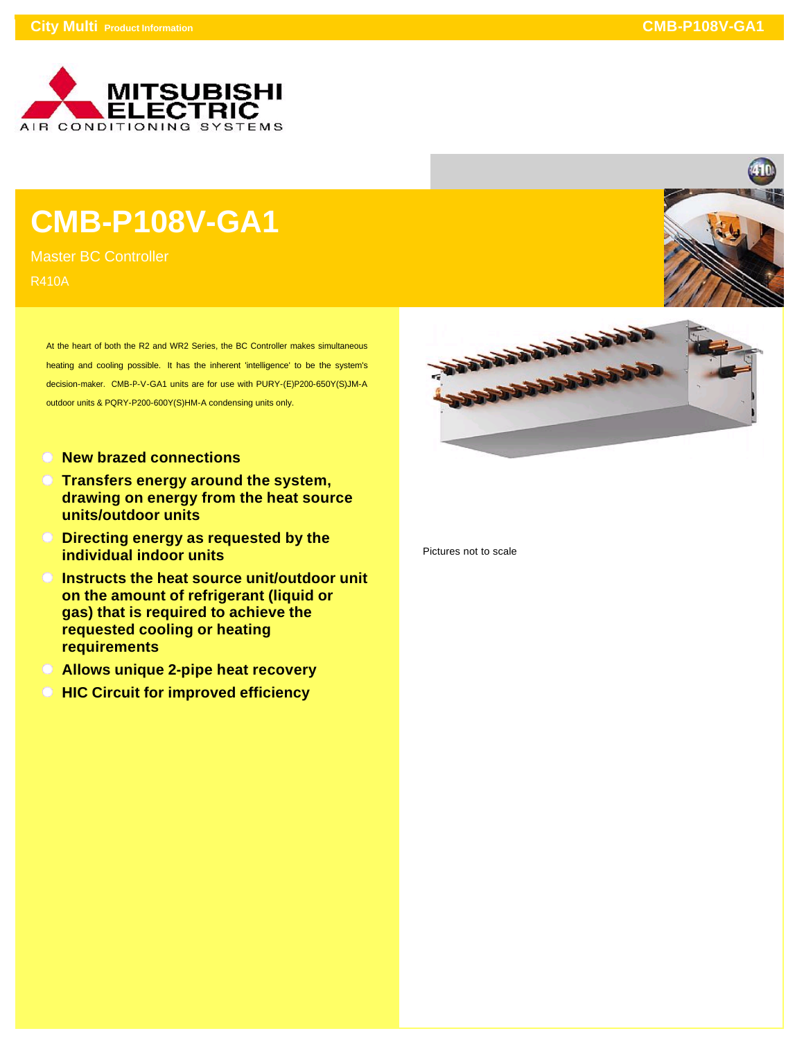

## **CMB-P108V-GA1**

Master BC Controller R410A

> At the heart of both the R2 and WR2 Series, the BC Controller makes simultaneous heating and cooling possible. It has the inherent 'intelligence' to be the system's decision-maker. CMB-P-V-GA1 units are for use with PURY-(E)P200-650Y(S)JM-A outdoor units & PQRY-P200-600Y(S)HM-A condensing units only.

- **New brazed connections**
- **Transfers energy around the system, drawing on energy from the heat source units/outdoor units**
- **Directing energy as requested by the individual indoor units**
- **Instructs the heat source unit/outdoor unit on the amount of refrigerant (liquid or gas) that is required to achieve the requested cooling or heating requirements**
- **Allows unique 2-pipe heat recovery**
- **HIC Circuit for improved efficiency**





Pictures not to scale